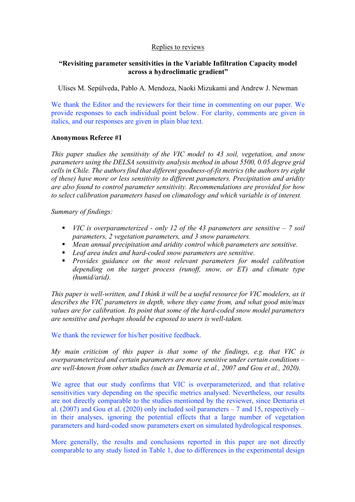## Replies to reviews

# **"Revisiting parameter sensitivities in the Variable Infiltration Capacity model across a hydroclimatic gradient"**

Ulises M. Sepúlveda, Pablo A. Mendoza, Naoki Mizukami and Andrew J. Newman

We thank the Editor and the reviewers for their time in commenting on our paper. We provide responses to each individual point below. For clarity, comments are given in italics, and our responses are given in plain blue text.

### **Anonymous Referee #1**

*This paper studies the sensitivity of the VIC model to 43 soil, vegetation, and snow parameters using the DELSA sensitivity analysis method in about 5500, 0.05 degree grid cells in Chile. The authors find that different goodness-of-fit metrics (the authors try eight of these) have more or less sensitivity to different parameters. Precipitation and aridity are also found to control parameter sensitivity. Recommendations are provided for how to select calibration parameters based on climatology and which variable is of interest.*

*Summary of findings:*

- § *VIC is overparameterized - only 12 of the 43 parameters are sensitive – 7 soil parameters, 2 vegetation parameters, and 3 snow parameters.*
- *Mean annual precipitation and aridity control which parameters are sensitive.*
- *Leaf area index and hard-coded snow parameters are sensitive.*
- § *Provides guidance on the most relevant parameters for model calibration depending on the target process (runoff, snow, or ET) and climate type (humid/arid).*

*This paper is well-written, and I think it will be a useful resource for VIC modelers, as it describes the VIC parameters in depth, where they came from, and what good min/max values are for calibration. Its point that some of the hard-coded snow model parameters are sensitive and perhaps should be exposed to users is well-taken.*

We thank the reviewer for his/her positive feedback.

*My main criticism of this paper is that some of the findings, e.g. that VIC is overparameterized and certain parameters are more sensitive under certain conditions – are well-known from other studies (such as Demaria et al., 2007 and Gou et al., 2020).*

We agree that our study confirms that VIC is overparameterized, and that relative sensitivities vary depending on the specific metrics analysed. Nevertheless, our results are not directly comparable to the studies mentioned by the reviewer, since Demaria et al. (2007) and Gou et al. (2020) only included soil parameters  $-7$  and 15, respectively  $$ in their analyses, ignoring the potential effects that a large number of vegetation parameters and hard-coded snow parameters exert on simulated hydrological responses.

More generally, the results and conclusions reported in this paper are not directly comparable to any study listed in Table 1, due to differences in the experimental design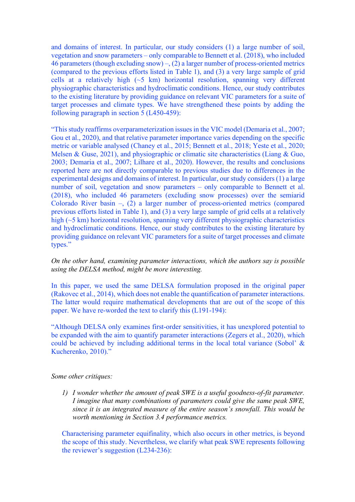and domains of interest. In particular, our study considers (1) a large number of soil, vegetation and snow parameters – only comparable to Bennett et al. (2018), who included 46 parameters (though excluding snow) –,  $(2)$  a larger number of process-oriented metrics (compared to the previous efforts listed in Table 1), and (3) a very large sample of grid cells at a relatively high (~5 km) horizontal resolution, spanning very different physiographic characteristics and hydroclimatic conditions. Hence, our study contributes to the existing literature by providing guidance on relevant VIC parameters for a suite of target processes and climate types. We have strengthened these points by adding the following paragraph in section 5 (L450-459):

"This study reaffirms overparameterization issues in the VIC model (Demaria et al., 2007; Gou et al., 2020), and that relative parameter importance varies depending on the specific metric or variable analysed (Chaney et al., 2015; Bennett et al., 2018; Yeste et al., 2020; Melsen  $\&$  Guse, 2021), and physiographic or climatic site characteristics (Liang  $\&$  Guo, 2003; Demaria et al., 2007; Lilhare et al., 2020). However, the results and conclusions reported here are not directly comparable to previous studies due to differences in the experimental designs and domains of interest. In particular, our study considers (1) a large number of soil, vegetation and snow parameters – only comparable to Bennett et al. (2018), who included 46 parameters (excluding snow processes) over the semiarid Colorado River basin  $-$ , (2) a larger number of process-oriented metrics (compared previous efforts listed in Table 1), and (3) a very large sample of grid cells at a relatively high (~5 km) horizontal resolution, spanning very different physiographic characteristics and hydroclimatic conditions. Hence, our study contributes to the existing literature by providing guidance on relevant VIC parameters for a suite of target processes and climate types."

# *On the other hand, examining parameter interactions, which the authors say is possible using the DELSA method, might be more interesting.*

In this paper, we used the same DELSA formulation proposed in the original paper (Rakovec et al., 2014), which does not enable the quantification of parameter interactions. The latter would require mathematical developments that are out of the scope of this paper. We have re-worded the text to clarify this (L191-194):

"Although DELSA only examines first-order sensitivities, it has unexplored potential to be expanded with the aim to quantify parameter interactions (Zegers et al., 2020), which could be achieved by including additional terms in the local total variance (Sobol' & Kucherenko, 2010)."

### *Some other critiques:*

*1) I wonder whether the amount of peak SWE is a useful goodness-of-fit parameter. I imagine that many combinations of parameters could give the same peak SWE, since it is an integrated measure of the entire season's snowfall. This would be worth mentioning in Section 3.4 performance metrics.*

Characterising parameter equifinality, which also occurs in other metrics, is beyond the scope of this study. Nevertheless, we clarify what peak SWE represents following the reviewer's suggestion (L234-236):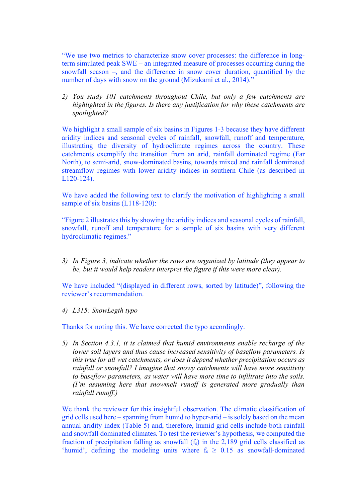"We use two metrics to characterize snow cover processes: the difference in longterm simulated peak SWE – an integrated measure of processes occurring during the snowfall season –, and the difference in snow cover duration, quantified by the number of days with snow on the ground (Mizukami et al., 2014).'

*2) You study 101 catchments throughout Chile, but only a few catchments are highlighted in the figures. Is there any justification for why these catchments are spotlighted?*

We highlight a small sample of six basins in Figures 1-3 because they have different aridity indices and seasonal cycles of rainfall, snowfall, runoff and temperature, illustrating the diversity of hydroclimate regimes across the country. These catchments exemplify the transition from an arid, rainfall dominated regime (Far North), to semi-arid, snow-dominated basins, towards mixed and rainfall dominated streamflow regimes with lower aridity indices in southern Chile (as described in L120-124).

We have added the following text to clarify the motivation of highlighting a small sample of six basins (L118-120):

"Figure 2 illustrates this by showing the aridity indices and seasonal cycles of rainfall, snowfall, runoff and temperature for a sample of six basins with very different hydroclimatic regimes."

*3) In Figure 3, indicate whether the rows are organized by latitude (they appear to be, but it would help readers interpret the figure if this were more clear).*

We have included "(displayed in different rows, sorted by latitude)", following the reviewer's recommendation.

*4) L315: SnowLegth typo*

Thanks for noting this. We have corrected the typo accordingly.

*5) In Section 4.3.1, it is claimed that humid environments enable recharge of the lower soil layers and thus cause increased sensitivity of baseflow parameters. Is this true for all wet catchments, or does it depend whether precipitation occurs as rainfall or snowfall? I imagine that snowy catchments will have more sensitivity to baseflow parameters, as water will have more time to infiltrate into the soils. (I'm assuming here that snowmelt runoff is generated more gradually than rainfall runoff.)*

We thank the reviewer for this insightful observation. The climatic classification of grid cells used here – spanning from humid to hyper-arid – is solely based on the mean annual aridity index (Table 5) and, therefore, humid grid cells include both rainfall and snowfall dominated climates. To test the reviewer's hypothesis, we computed the fraction of precipitation falling as snowfall  $(f_s)$  in the 2,189 grid cells classified as 'humid', defining the modeling units where  $f_s \geq 0.15$  as snowfall-dominated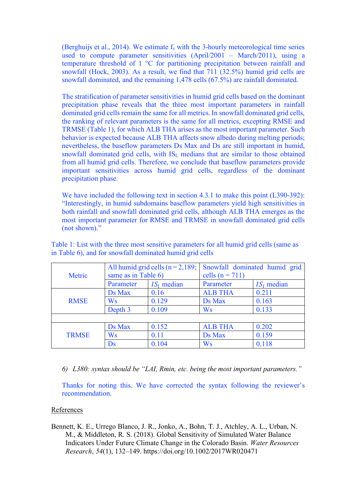(Berghuijs et al., 2014). We estimate  $f_s$  with the 3-hourly meteorological time series used to compute parameter sensitivities (April/2001 – March/2011), using a temperature threshold of 1 °C for partitioning precipitation between rainfall and snowfall (Hock, 2003). As a result, we find that 711 (32.5%) humid grid cells are snowfall dominated, and the remaining 1,478 cells (67.5%) are rainfall dominated.

The stratification of parameter sensitivities in humid grid cells based on the dominant precipitation phase reveals that the three most important parameters in rainfall dominated grid cells remain the same for all metrics. In snowfall dominated grid cells, the ranking of relevant parameters is the same for all metrics, excepting RMSE and TRMSE (Table 1), for which ALB THA arises as the most important parameter. Such behavior is expected because ALB THA affects snow albedo during melting periods; nevertheless, the baseflow parameters Ds Max and Ds are still important in humid, snowfall dominated grid cells, with IS<sub>L</sub> medians that are similar to those obtained from all humid grid cells. Therefore, we conclude that baseflow parameters provide important sensitivities across humid grid cells, regardless of the dominant precipitation phase.

We have included the following text in section 4.3.1 to make this point (L390-392): "Interestingly, in humid subdomains baseflow parameters yield high sensitivities in both rainfall and snowfall dominated grid cells, although ALB THA emerges as the most important parameter for RMSE and TRMSE in snowfall dominated grid cells (not shown)."

|              | All humid grid cells $(n = 2, 189)$ ; |              | Snowfall dominated humid grid |              |
|--------------|---------------------------------------|--------------|-------------------------------|--------------|
| Metric       | same as in Table 6)                   |              | cells $(n = 711)$             |              |
|              | Parameter                             | $ISi$ median | Parameter                     | $ISi$ median |
| <b>RMSE</b>  | Ds Max                                | 0.16         | <b>ALB THA</b>                | 0.211        |
|              | Ws                                    | 0.129        | Ds Max                        | 0.163        |
|              | Depth 3                               | 0.109        | Ws                            | 0.133        |
|              |                                       |              |                               |              |
| <b>TRMSE</b> | Ds Max                                | 0.152        | <b>ALB THA</b>                | 0.202        |
|              | Ws                                    | 0.11         | Ds Max                        | 0.159        |
|              | $\mathbf{D}\mathbf{s}$                | 0.104        | Ws                            | 0.118        |

Table 1: List with the three most sensitive parameters for all humid grid cells (same as in Table 6), and for snowfall dominated humid grid cells

*6) L380: syntax should be "LAI, Rmin, etc. being the most important parameters."*

Thanks for noting this. We have corrected the syntax following the reviewer's recommendation.

#### References

Bennett, K. E., Urrego Blanco, J. R., Jonko, A., Bohn, T. J., Atchley, A. L., Urban, N. M., & Middleton, R. S. (2018). Global Sensitivity of Simulated Water Balance Indicators Under Future Climate Change in the Colorado Basin. *Water Resources Research*, *54*(1), 132–149. https://doi.org/10.1002/2017WR020471